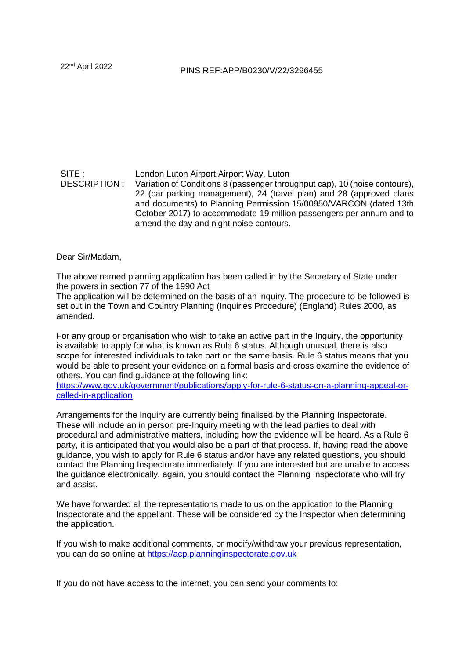## SITE : London Luton Airport,Airport Way, Luton DESCRIPTION : Variation of Conditions 8 (passenger throughput cap), 10 (noise contours), 22 (car parking management), 24 (travel plan) and 28 (approved plans and documents) to Planning Permission 15/00950/VARCON (dated 13th October 2017) to accommodate 19 million passengers per annum and to amend the day and night noise contours.

Dear Sir/Madam,

The above named planning application has been called in by the Secretary of State under the powers in section 77 of the 1990 Act

The application will be determined on the basis of an inquiry. The procedure to be followed is set out in the Town and Country Planning (Inquiries Procedure) (England) Rules 2000, as amended.

For any group or organisation who wish to take an active part in the Inquiry, the opportunity is available to apply for what is known as Rule 6 status. Although unusual, there is also scope for interested individuals to take part on the same basis. Rule 6 status means that you would be able to present your evidence on a formal basis and cross examine the evidence of others. You can find guidance at the following link:

[https://www.gov.uk/government/publications/apply-for-rule-6-status-on-a-planning-appeal-or](https://www.gov.uk/government/publications/apply-for-rule-6-status-on-a-planning-appeal-or-called-in-application)[called-in-application](https://www.gov.uk/government/publications/apply-for-rule-6-status-on-a-planning-appeal-or-called-in-application)

Arrangements for the Inquiry are currently being finalised by the Planning Inspectorate. These will include an in person pre-Inquiry meeting with the lead parties to deal with procedural and administrative matters, including how the evidence will be heard. As a Rule 6 party, it is anticipated that you would also be a part of that process. If, having read the above guidance, you wish to apply for Rule 6 status and/or have any related questions, you should contact the Planning Inspectorate immediately. If you are interested but are unable to access the guidance electronically, again, you should contact the Planning Inspectorate who will try and assist.

We have forwarded all the representations made to us on the application to the Planning Inspectorate and the appellant. These will be considered by the Inspector when determining the application.

If you wish to make additional comments, or modify/withdraw your previous representation, you can do so online at [https://acp.planninginspectorate.gov.uk](https://acp.planninginspectorate.gov.uk/) 

If you do not have access to the internet, you can send your comments to: